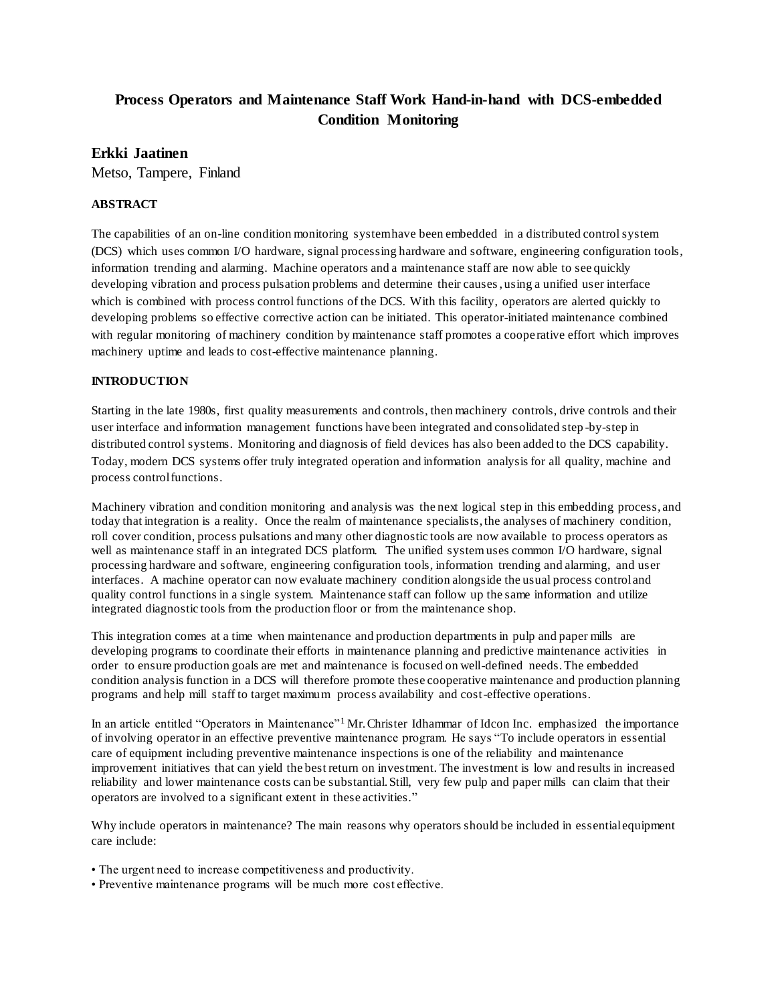# **Process Operators and Maintenance Staff Work Hand-in-hand with DCS-embedded Condition Monitoring**

# **Erkki Jaatinen**

Metso, Tampere, Finland

### **ABSTRACT**

The capabilities of an on-line condition monitoring system have been embedded in a distributed control system (DCS) which uses common I/O hardware, signal processing hardware and software, engineering configuration tools, information trending and alarming. Machine operators and a maintenance staff are now able to see quickly developing vibration and process pulsation problems and determine their causes, using a unified user interface which is combined with process control functions of the DCS. With this facility, operators are alerted quickly to developing problems so effective corrective action can be initiated. This operator-initiated maintenance combined with regular monitoring of machinery condition by maintenance staff promotes a cooperative effort which improves machinery uptime and leads to cost-effective maintenance planning.

### **INTRODUCTION**

Starting in the late 1980s, first quality measurements and controls, then machinery controls, drive controls and their user interface and information management functions have been integrated and consolidated step -by-step in distributed control systems. Monitoring and diagnosis of field devices has also been added to the DCS capability. Today, modern DCS systems offer truly integrated operation and information analysis for all quality, machine and process control functions.

Machinery vibration and condition monitoring and analysis was the next logical step in this embedding process, and today that integration is a reality. Once the realm of maintenance specialists, the analyses of machinery condition, roll cover condition, process pulsations and many other diagnostic tools are now available to process operators as well as maintenance staff in an integrated DCS platform. The unified system uses common I/O hardware, signal processing hardware and software, engineering configuration tools, information trending and alarming, and user interfaces. A machine operator can now evaluate machinery condition alongside the usual process control and quality control functions in a single system. Maintenance staff can follow up the same information and utilize integrated diagnostic tools from the production floor or from the maintenance shop.

This integration comes at a time when maintenance and production departments in pulp and paper mills are developing programs to coordinate their efforts in maintenance planning and predictive maintenance activities in order to ensure production goals are met and maintenance is focused on well-defined needs. The embedded condition analysis function in a DCS will therefore promote these cooperative maintenance and production planning programs and help mill staff to target maximum process availability and cost-effective operations.

In an article entitled "Operators in Maintenance"<sup>1</sup>Mr. Christer Idhammar of Idcon Inc. emphasized the importance of involving operator in an effective preventive maintenance program. He says "To include operators in essential care of equipment including preventive maintenance inspections is one of the reliability and maintenance improvement initiatives that can yield the best return on investment. The investment is low and results in increased reliability and lower maintenance costs can be substantial. Still, very few pulp and paper mills can claim that their operators are involved to a significant extent in these activities."

Why include operators in maintenance? The main reasons why operators should be included in essential equipment care include:

- The urgent need to increase competitiveness and productivity.
- Preventive maintenance programs will be much more cost effective.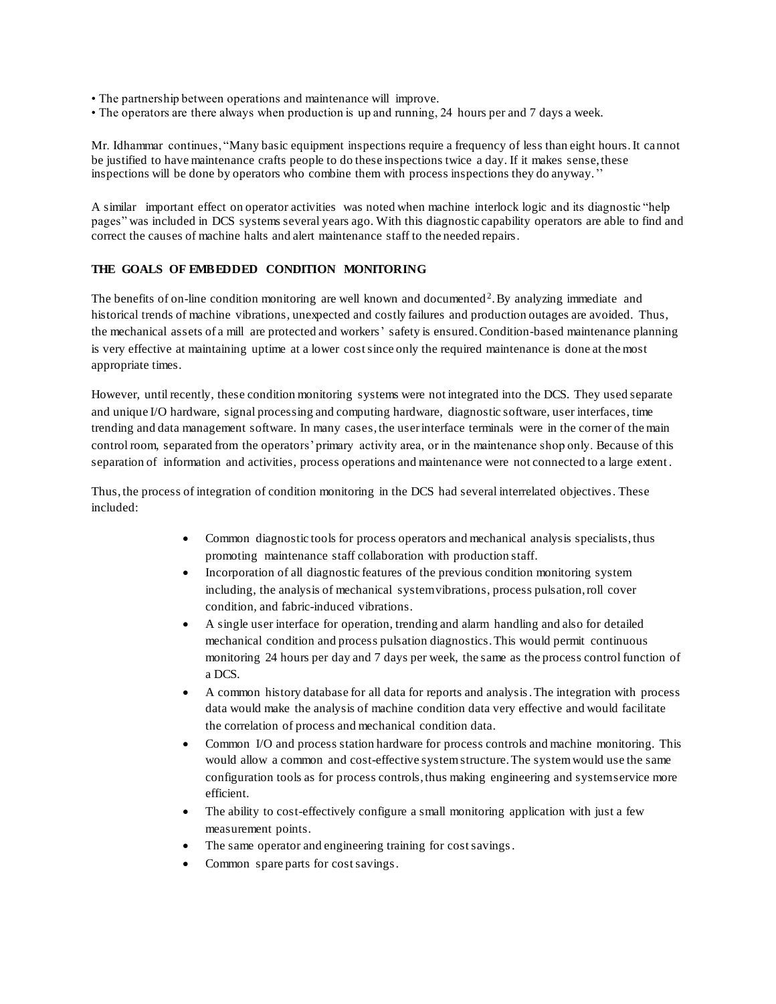- The partnership between operations and maintenance will improve.
- The operators are there always when production is up and running, 24 hours per and 7 days a week.

Mr. Idhammar continues, "Many basic equipment inspections require a frequency of less than eight hours. It cannot be justified to have maintenance crafts people to do these inspections twice a day. If it makes sense, these inspections will be done by operators who combine them with process inspections they do anyway.''

A similar important effect on operator activities was noted when machine interlock logic and its diagnostic "help pages" was included in DCS systems several years ago. With this diagnostic capability operators are able to find and correct the causes of machine halts and alert maintenance staff to the needed repairs.

#### **THE GOALS OF EMBEDDED CONDITION MONITORING**

The benefits of on-line condition monitoring are well known and documented<sup>2</sup>. By analyzing immediate and historical trends of machine vibrations, unexpected and costly failures and production outages are avoided. Thus, the mechanical assets of a mill are protected and workers' safety is ensured. Condition-based maintenance planning is very effective at maintaining uptime at a lower cost since only the required maintenance is done at the most appropriate times.

However, until recently, these condition monitoring systems were not integrated into the DCS. They used separate and unique I/O hardware, signal processing and computing hardware, diagnostic software, user interfaces, time trending and data management software. In many cases, the user interface terminals were in the corner of the main control room, separated from the operators' primary activity area, or in the maintenance shop only. Because of this separation of information and activities, process operations and maintenance were not connected to a large extent .

Thus, the process of integration of condition monitoring in the DCS had several interrelated objectives. These included:

- Common diagnostic tools for process operators and mechanical analysis specialists, thus promoting maintenance staff collaboration with production staff.
- Incorporation of all diagnostic features of the previous condition monitoring system including, the analysis of mechanical system vibrations, process pulsation, roll cover condition, and fabric-induced vibrations.
- A single user interface for operation, trending and alarm handling and also for detailed mechanical condition and process pulsation diagnostics. This would permit continuous monitoring 24 hours per day and 7 days per week, the same as the process control function of a DCS.
- A common history database for all data for reports and analysis. The integration with process data would make the analysis of machine condition data very effective and would facilitate the correlation of process and mechanical condition data.
- Common I/O and process station hardware for process controls and machine monitoring. This would allow a common and cost-effective system structure. The system would use the same configuration tools as for process controls, thus making engineering and system service more efficient.
- The ability to cost-effectively configure a small monitoring application with just a few measurement points.
- The same operator and engineering training for cost savings.
- Common spare parts for cost savings.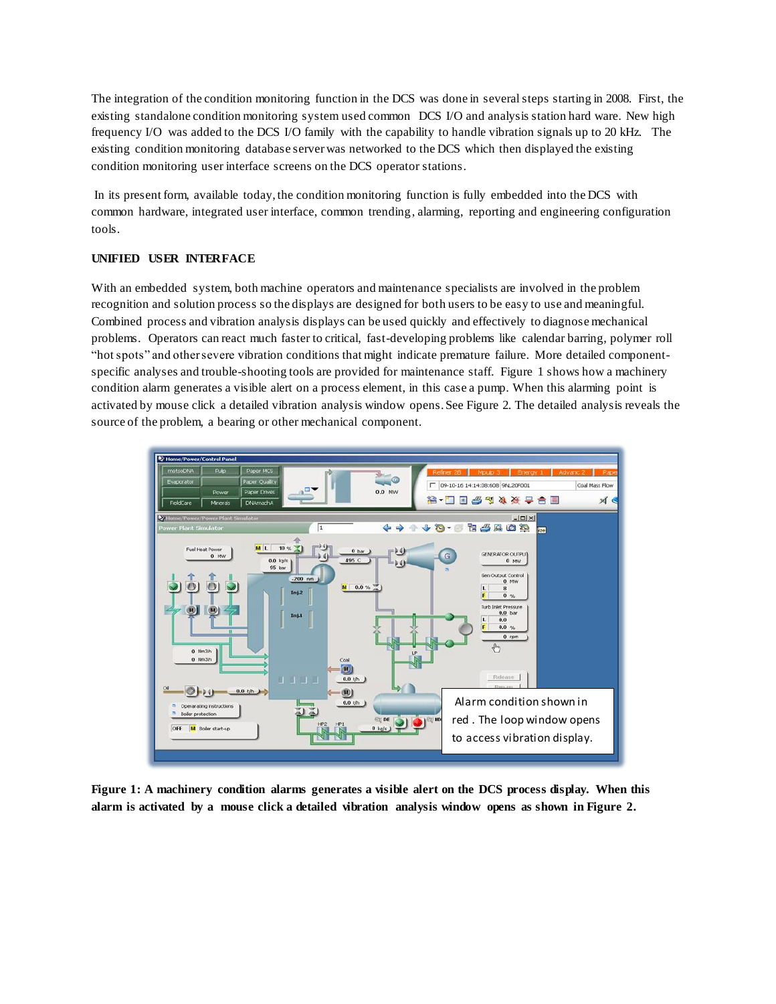The integration of the condition monitoring function in the DCS was done in several steps starting in 2008. First, the existing standalone condition monitoring system used common DCS I/O and analysis station hard ware. New high frequency I/O was added to the DCS I/O family with the capability to handle vibration signals up to 20 kHz. The existing condition monitoring database server was networked to the DCS which then displayed the existing condition monitoring user interface screens on the DCS operator stations.

In its present form, available today, the condition monitoring function is fully embedded into the DCS with common hardware, integrated user interface, common trending, alarming, reporting and engineering configuration tools.

### **UNIFIED USER INTERFACE**

With an embedded system, both machine operators and maintenance specialists are involved in the problem recognition and solution process so the displays are designed for both users to be easy to use and meaningful. Combined process and vibration analysis displays can be used quickly and effectively to diagnose mechanical problems. Operators can react much faster to critical, fast-developing problems like calendar barring, polymer roll "hotspots" and other severe vibration conditions that might indicate premature failure. More detailed componentspecific analyses and trouble-shooting tools are provided for maintenance staff. Figure 1 shows how a machinery condition alarm generates a visible alert on a process element, in this case a pump. When this alarming point is activated by mouse click a detailed vibration analysis window opens. See Figure 2. The detailed analysis reveals the source of the problem, a bearing or other mechanical component.



**Figure 1: A machinery condition alarms generates a visible alert on the DCS process display. When this alarm is activated by a mouse click a detailed vibration analysis window opens as shown in Figure 2.**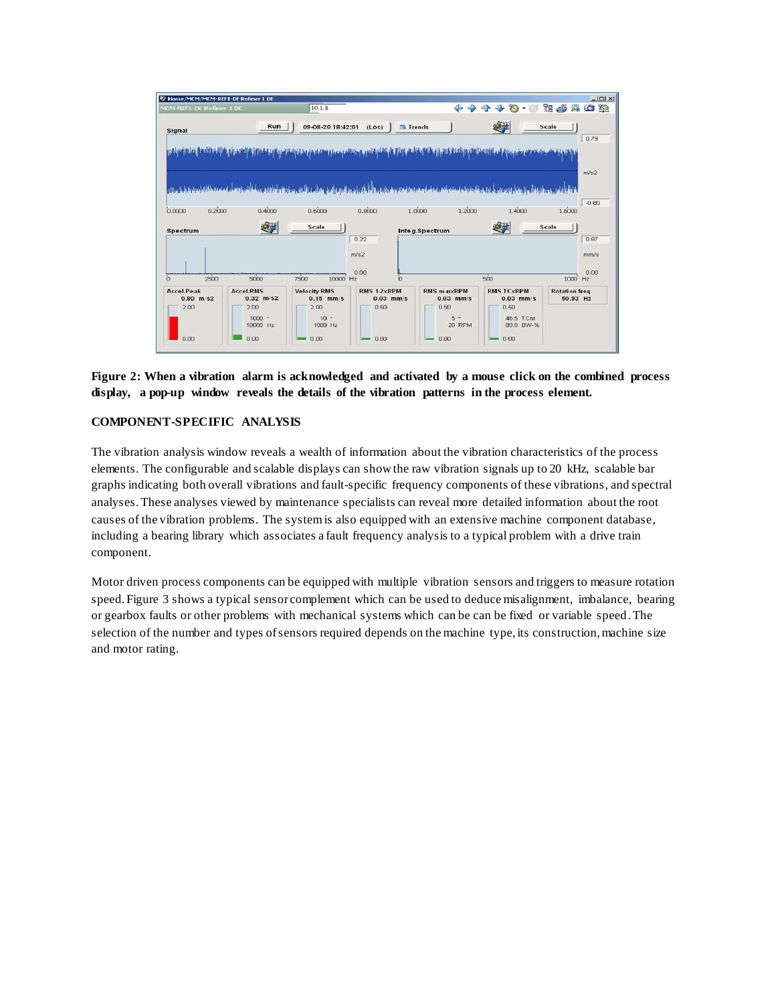

**Figure 2: When a vibration alarm is acknowledged and activated by a mouse click on the combined process display, a pop-up window reveals the details of the vibration patterns in the process element.**

#### **COMPONENT-SPECIFIC ANALYSIS**

The vibration analysis window reveals a wealth of information about the vibration characteristics of the process elements. The configurable and scalable displays can show the raw vibration signals up to 20 kHz, scalable bar graphs indicating both overall vibrations and fault-specific frequency components of these vibrations, and spectral analyses.These analyses viewed by maintenance specialists can reveal more detailed information about the root causes of the vibration problems. The system is also equipped with an extensive machine component database, including a bearing library which associates a fault frequency analysis to a typical problem with a drive train component.

Motor driven process components can be equipped with multiple vibration sensors and triggers to measure rotation speed. Figure 3 shows a typical sensor complement which can be used to deduce misalignment, imbalance, bearing or gearbox faults or other problems with mechanical systems which can be can be fixed or variable speed.The selection of the number and types of sensors required depends on the machine type, its construction, machine size and motor rating.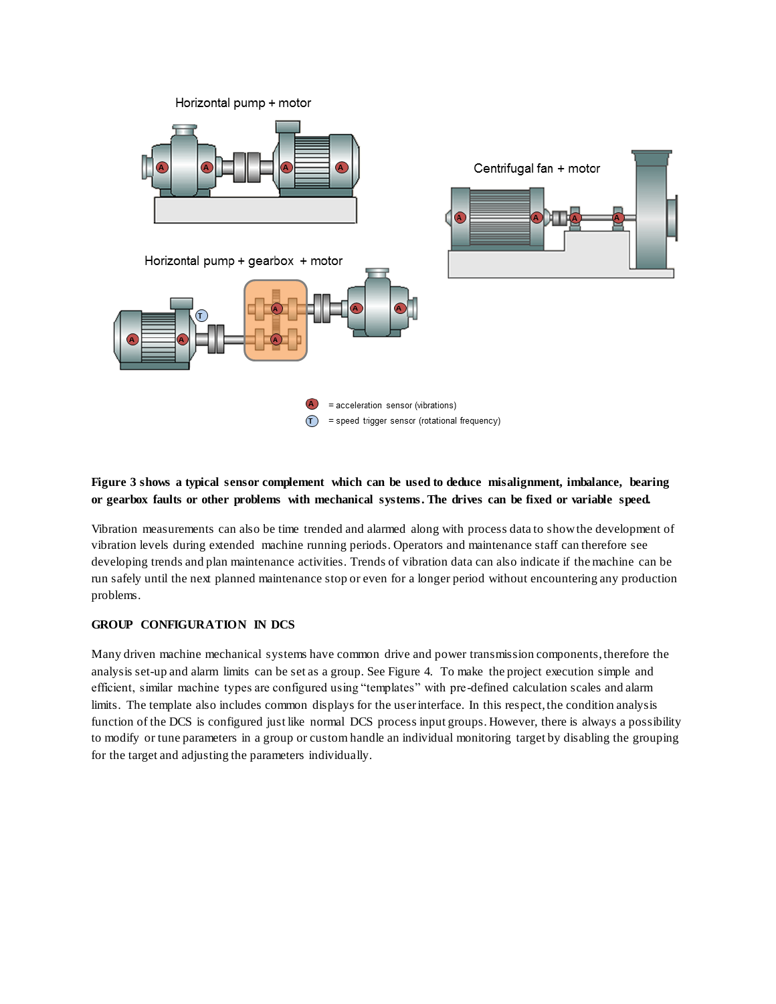

## **Figure 3 shows a typical sensor complement which can be used to deduce misalignment, imbalance, bearing or gearbox faults or other problems with mechanical systems. The drives can be fixed or variable speed.**

Vibration measurements can also be time trended and alarmed along with process data to show the development of vibration levels during extended machine running periods. Operators and maintenance staff can therefore see developing trends and plan maintenance activities. Trends of vibration data can also indicate if the machine can be run safely until the next planned maintenance stop or even for a longer period without encountering any production problems.

### **GROUP CONFIGURATION IN DCS**

Many driven machine mechanical systems have common drive and power transmission components, therefore the analysis set-up and alarm limits can be set as a group. See Figure 4. To make the project execution simple and efficient, similar machine types are configured using "templates" with pre-defined calculation scales and alarm limits. The template also includes common displays for the user interface. In this respect, the condition analysis function of the DCS is configured just like normal DCS process input groups. However, there is always a possibility to modify or tune parameters in a group or custom handle an individual monitoring target by disabling the grouping for the target and adjusting the parameters individually.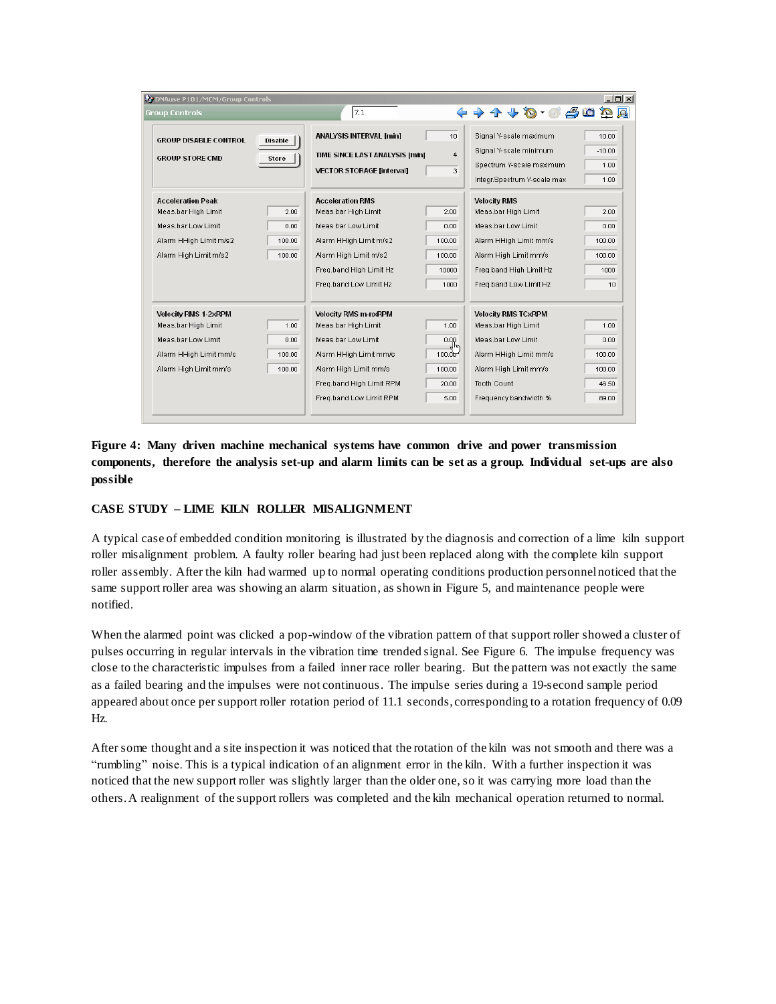| 27 DNAuse P101/MCM/Group Controls |         |                                  |                    |                             | $  D  \times  $ |
|-----------------------------------|---------|----------------------------------|--------------------|-----------------------------|-----------------|
| <b>Group Controls</b>             |         | 7.1                              |                    | +++++++++++                 |                 |
| <b>GROUP DISABLE CONTROL</b>      | Disable | <b>ANALYSIS INTERVAL [min]</b>   | 10                 | Signal Y-scale maximum      | 10.00           |
| <b>GROUP STORE CMD</b>            | Store   | TIME SINCE LAST ANALYSIS [min]   | 4                  | Signal Y-scale minimum      | $-10.00$        |
|                                   |         | <b>VECTOR STORAGE [interval]</b> | 3                  | Spectrum Y-scale maximum    | 1.00            |
|                                   |         |                                  |                    | Integr.Spectrum Y-scale max | 1.00            |
| <b>Acceleration Peak</b>          |         | <b>Acceleration RMS</b>          |                    | <b>Velocity RMS</b>         |                 |
| Meas.bar High Limit               | 2.00    | Meas.bar High Limit              | 2.00               | Meas.bar High Limit         | 2.00            |
| Meas bar Low Limit                | 0.00    | Meas bar Low Limit               | 0.00               | Meas bar Low Limit          | 0.00.           |
| Alarm HHigh Limit m/s2            | 100.00  | Alarm HHigh Limit m/s2           | 100.00             | Alarm HHigh Limit mm/s      | 100.00          |
| Alarm High Limit m/s2             | 100.00  | Alarm High Limit m/s2            | 100.00             | Alarm High Limit mm/s       | 100.00          |
|                                   |         | Freg.band High Limit Hz          | 10000              | Freg.band High Limit Hz     | 1000            |
|                                   |         | Freq.band Low Limit Hz           | 1000               | Freg.band Low Limit Hz      | $10^{-1}$       |
| <b>Velocity RMS 1-2xRPM</b>       |         | <b>Velocity RMS m-nxRPM</b>      |                    | <b>Velocity RMS TCxRPM</b>  |                 |
| Meas.bar High Limit               | 1.00    | Meas.bar High Limit              | 1.00               | Meas.bar High Limit         | 1.00            |
| Meas.bar Low Limit                | 0.00    | Meas.bar Low Limit               | 0.00               | Meas.bar Low Limit          | 0.00            |
| Alarm HHigh Limit mm/s            | 100.00  | Alarm HHigh Limit mm/s           | 100.0 <sup>h</sup> | Alarm HHigh Limit mm/s      | 100.00          |
| Alarm High Limit mm/s             | 100.00  | Alarm High Limit mm/s            | 100.00             | Alarm High Limit mm/s       | 100.00          |
|                                   |         | Freg.band High Limit RPM         | 20.00              | Tooth Count                 | 46.50           |
|                                   |         | Freq.band Low Limit RPM          | 5.00               | Frequency bandwidth %       | 89.00           |
|                                   |         |                                  |                    |                             |                 |

**Figure 4: Many driven machine mechanical systems have common drive and power transmission components, therefore the analysis set-up and alarm limits can be set as a group. Individual set-ups are also possible**

#### **CASE STUDY – LIME KILN ROLLER MISALIGNMENT**

A typical case of embedded condition monitoring is illustrated by the diagnosis and correction of a lime kiln support roller misalignment problem. A faulty roller bearing had just been replaced along with the complete kiln support roller assembly. After the kiln had warmed up to normal operating conditions production personnel noticed that the same support roller area was showing an alarm situation, as shown in Figure 5, and maintenance people were notified.

When the alarmed point was clicked a pop-window of the vibration pattern of that support roller showed a cluster of pulses occurring in regular intervals in the vibration time trended signal. See Figure 6. The impulse frequency was close to the characteristic impulses from a failed inner race roller bearing. But the pattern was not exactly the same as a failed bearing and the impulses were not continuous. The impulse series during a 19-second sample period appeared about once per support roller rotation period of 11.1 seconds, corresponding to a rotation frequency of 0.09 Hz.

After some thought and a site inspection it was noticed that the rotation of the kiln was not smooth and there was a "rumbling" noise. This is a typical indication of an alignment error in the kiln. With a further inspection it was noticed that the new support roller was slightly larger than the older one, so it was carrying more load than the others. A realignment of the support rollers was completed and the kiln mechanical operation returned to normal.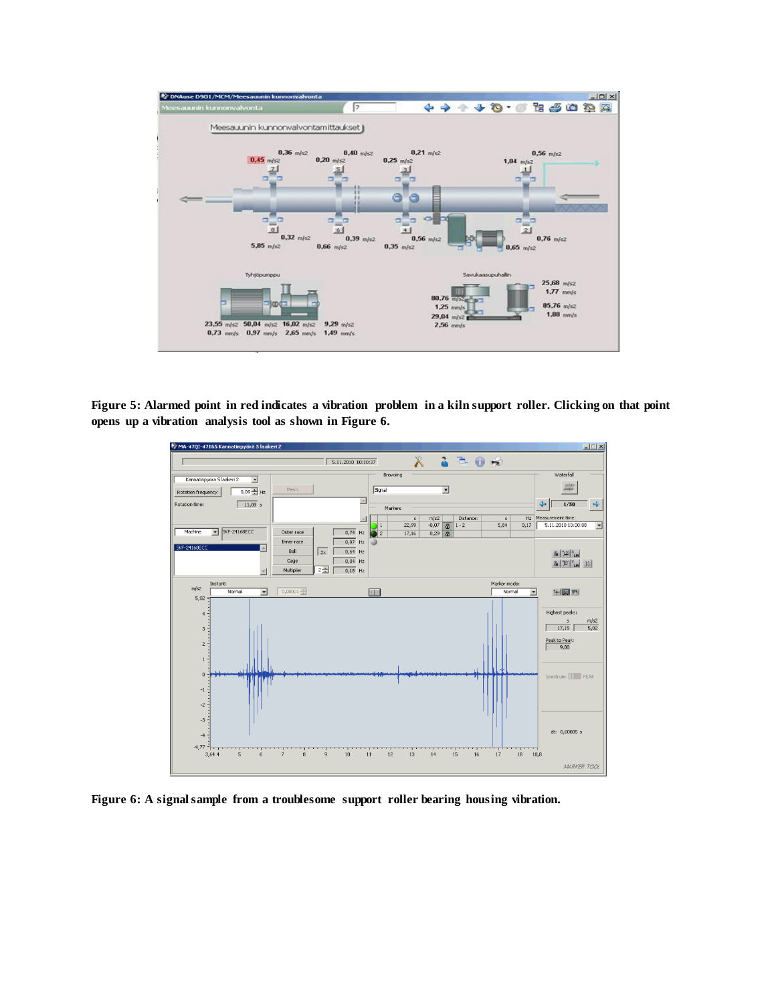

**Figure 5: Alarmed point in red indicates a vibration problem in a kiln support roller. Clicking on that point opens up a vibration analysis tool as shown in Figure 6.** 



**Figure 6: A signal sample from a troublesome support roller bearing housing vibration.**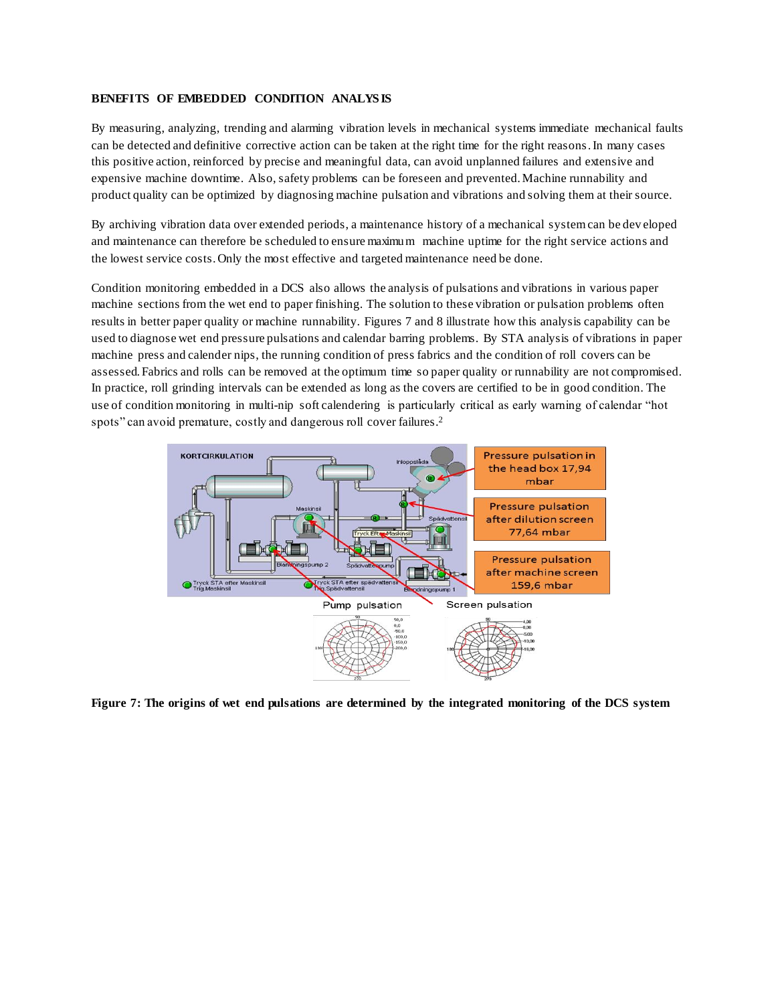#### **BENEFITS OF EMBEDDED CONDITION ANALYS IS**

By measuring, analyzing, trending and alarming vibration levels in mechanical systems immediate mechanical faults can be detected and definitive corrective action can be taken at the right time for the right reasons. In many cases this positive action, reinforced by precise and meaningful data, can avoid unplanned failures and extensive and expensive machine downtime. Also, safety problems can be foreseen and prevented. Machine runnability and product quality can be optimized by diagnosing machine pulsation and vibrations and solving them at their source.

By archiving vibration data over extended periods, a maintenance history of a mechanical system can be dev eloped and maintenance can therefore be scheduled to ensure maximum machine uptime for the right service actions and the lowest service costs. Only the most effective and targeted maintenance need be done.

Condition monitoring embedded in a DCS also allows the analysis of pulsations and vibrations in various paper machine sections from the wet end to paper finishing. The solution to these vibration or pulsation problems often results in better paper quality or machine runnability. Figures 7 and 8 illustrate how this analysis capability can be used to diagnose wet end pressure pulsations and calendar barring problems. By STA analysis of vibrations in paper machine press and calender nips, the running condition of press fabrics and the condition of roll covers can be assessed. Fabrics and rolls can be removed at the optimum time so paper quality or runnability are not compromised. In practice, roll grinding intervals can be extended as long as the covers are certified to be in good condition. The use of condition monitoring in multi-nip soft calendering is particularly critical as early warning of calendar "hot spots" can avoid premature, costly and dangerous roll cover failures.<sup>2</sup>



**Figure 7: The origins of wet end pulsations are determined by the integrated monitoring of the DCS system**